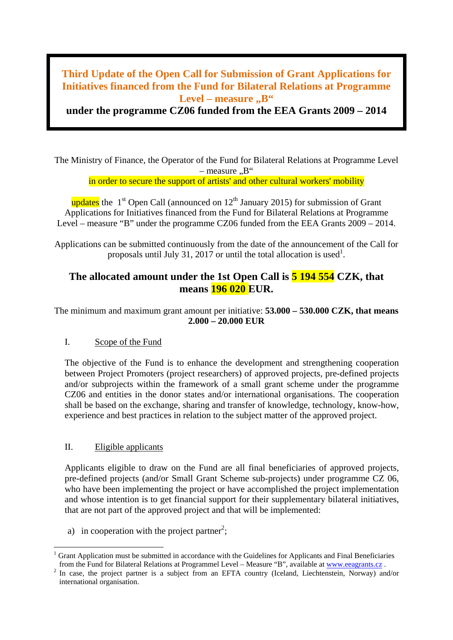# **Third Update of the Open Call for Submission of Grant Applications for Initiatives financed from the Fund for Bilateral Relations at Programme**  Level – measure "B"

**under the programme CZ06 funded from the EEA Grants 2009 – 2014**

The Ministry of Finance, the Operator of the Fund for Bilateral Relations at Programme Level – measure  $.B''$ 

in order to secure the support of artists' and other cultural workers' mobility

updates the  $1<sup>st</sup>$  Open Call (announced on  $12<sup>th</sup>$  January 2015) for submission of Grant Applications for Initiatives financed from the Fund for Bilateral Relations at Programme Level – measure "B" under the programme CZ06 funded from the EEA Grants 2009 – 2014.

Applications can be submitted continuously from the date of the announcement of the Call for proposals until July 31, 2017 or until the total allocation is used<sup>1</sup>.

## **The allocated amount under the 1st Open Call is 5 194 554 CZK, that means 196 020 EUR.**

The minimum and maximum grant amount per initiative: **53.000 – 530.000 CZK, that means 2.000 – 20.000 EUR**

## I. Scope of the Fund

The objective of the Fund is to enhance the development and strengthening cooperation between Project Promoters (project researchers) of approved projects, pre-defined projects and/or subprojects within the framework of a small grant scheme under the programme CZ06 and entities in the donor states and/or international organisations. The cooperation shall be based on the exchange, sharing and transfer of knowledge, technology, know-how, experience and best practices in relation to the subject matter of the approved project.

## II. Eligible applicants

Applicants eligible to draw on the Fund are all final beneficiaries of approved projects, pre-defined projects (and/or Small Grant Scheme sub-projects) under programme CZ 06, who have been implementing the project or have accomplished the project implementation and whose intention is to get financial support for their supplementary bilateral initiatives, that are not part of the approved project and that will be implemented:

a) in cooperation with the project partner<sup>2</sup>;

Grant Application must be submitted in accordance with the Guidelines for Applicants and Final Beneficiaries from the Fund for Bilateral Relations at Programmel Level – Measure "B", available at www.eeagrants.cz.

In case, the project partner is a subject from an EFTA country (Iceland, Liechtenstein, Norway) and/or international organisation.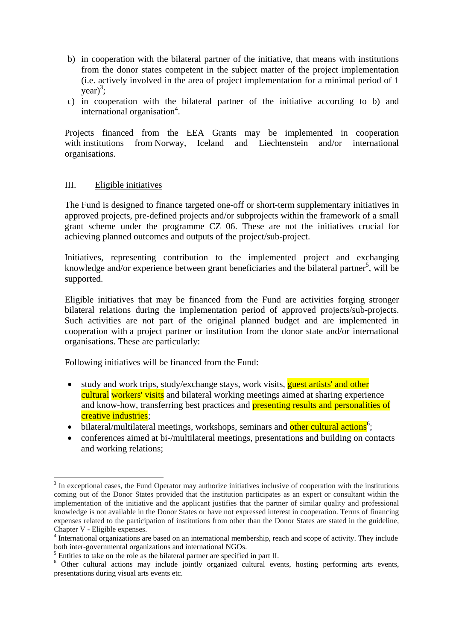- b) in cooperation with the bilateral partner of the initiative, that means with institutions from the donor states competent in the subject matter of the project implementation (i.e. actively involved in the area of project implementation for a minimal period of 1  $year)^3$ ;
- c) in cooperation with the bilateral partner of the initiative according to b) and international organisation<sup>4</sup>.

Projects financed from the EEA Grants may be implemented in cooperation with institutions from Norway, Iceland and Liechtenstein and/or international organisations.

### III. Eligible initiatives

The Fund is designed to finance targeted one-off or short-term supplementary initiatives in approved projects, pre-defined projects and/or subprojects within the framework of a small grant scheme under the programme CZ 06. These are not the initiatives crucial for achieving planned outcomes and outputs of the project/sub-project.

Initiatives, representing contribution to the implemented project and exchanging knowledge and/or experience between grant beneficiaries and the bilateral partner<sup>5</sup>, will be supported.

Eligible initiatives that may be financed from the Fund are activities forging stronger bilateral relations during the implementation period of approved projects/sub-projects. Such activities are not part of the original planned budget and are implemented in cooperation with a project partner or institution from the donor state and/or international organisations. These are particularly:

Following initiatives will be financed from the Fund:

- study and work trips, study/exchange stays, work visits, guest artists' and other cultural workers' visits and bilateral working meetings aimed at sharing experience and know-how, transferring best practices and **presenting results and personalities of** creative industries;
- bilateral/multilateral meetings, workshops, seminars and other cultural actions<sup>6</sup>;
- conferences aimed at bi-/multilateral meetings, presentations and building on contacts and working relations;

<sup>&</sup>lt;sup>3</sup> In exceptional cases, the Fund Operator may authorize initiatives inclusive of cooperation with the institutions coming out of the Donor States provided that the institution participates as an expert or consultant within the implementation of the initiative and the applicant justifies that the partner of similar quality and professional knowledge is not available in the Donor States or have not expressed interest in cooperation. Terms of financing expenses related to the participation of institutions from other than the Donor States are stated in the guideline, Chapter V - Eligible expenses.

<sup>&</sup>lt;sup>4</sup> International organizations are based on an international membership, reach and scope of activity. They include

both inter-governmental organizations and international NGOs.<br><sup>5</sup> Entities to take on the role as the bilateral partner are specified in part II.<br><sup>6</sup> Other cultural actions may include jointly organized cultural events, ho presentations during visual arts events etc.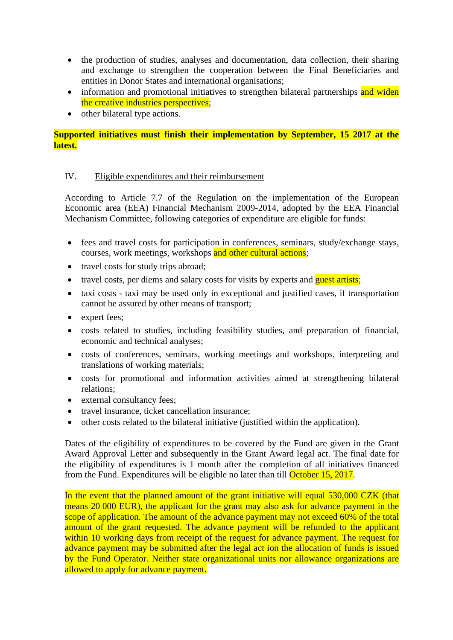- the production of studies, analyses and documentation, data collection, their sharing and exchange to strengthen the cooperation between the Final Beneficiaries and entities in Donor States and international organisations;
- information and promotional initiatives to strengthen bilateral partnerships and widen the creative industries perspectives;
- other bilateral type actions.

**Supported initiatives must finish their implementation by September, 15 2017 at the latest.**

## IV. Eligible expenditures and their reimbursement

According to Article 7.7 of the Regulation on the implementation of the European Economic area (EEA) Financial Mechanism 2009-2014, adopted by the EEA Financial Mechanism Committee, following categories of expenditure are eligible for funds:

- fees and travel costs for participation in conferences, seminars, study/exchange stays, courses, work meetings, workshops and other cultural actions;
- travel costs for study trips abroad;
- travel costs, per diems and salary costs for visits by experts and **guest artists**;
- taxi costs taxi may be used only in exceptional and justified cases, if transportation cannot be assured by other means of transport;
- expert fees;
- costs related to studies, including feasibility studies, and preparation of financial, economic and technical analyses;
- costs of conferences, seminars, working meetings and workshops, interpreting and translations of working materials;
- costs for promotional and information activities aimed at strengthening bilateral relations;
- external consultancy fees;
- travel insurance, ticket cancellation insurance;
- other costs related to the bilateral initiative (justified within the application).

Dates of the eligibility of expenditures to be covered by the Fund are given in the Grant Award Approval Letter and subsequently in the Grant Award legal act. The final date for the eligibility of expenditures is 1 month after the completion of all initiatives financed from the Fund. Expenditures will be eligible no later than till **October 15, 2017.** 

In the event that the planned amount of the grant initiative will equal 530,000 CZK (that means 20 000 EUR), the applicant for the grant may also ask for advance payment in the scope of application. The amount of the advance payment may not exceed 60% of the total amount of the grant requested. The advance payment will be refunded to the applicant within 10 working days from receipt of the request for advance payment. The request for advance payment may be submitted after the legal act ion the allocation of funds is issued by the Fund Operator. Neither state organizational units nor allowance organizations are allowed to apply for advance payment.